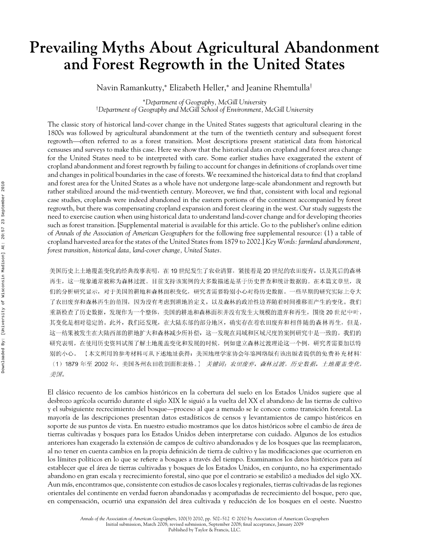# **Prevailing Myths About Agricultural Abandonment and Forest Regrowth in the United States**

Navin Ramankutty,<sup>∗</sup> Elizabeth Heller,<sup>∗</sup> and Jeanine Rhemtulla†

<sup>∗</sup>*Department of Geography, McGill University*

† *Department of Geography and McGill School of Environment, McGill University*

The classic story of historical land-cover change in the United States suggests that agricultural clearing in the 1800s was followed by agricultural abandonment at the turn of the twentieth century and subsequent forest regrowth—often referred to as a forest transition. Most descriptions present statistical data from historical censuses and surveys to make this case. Here we show that the historical data on cropland and forest area change for the United States need to be interpreted with care. Some earlier studies have exaggerated the extent of cropland abandonment and forest regrowth by failing to account for changes in definitions of croplands over time and changes in political boundaries in the case of forests. We reexamined the historical data to find that cropland and forest area for the United States as a whole have not undergone large-scale abandonment and regrowth but rather stabilized around the mid-twentieth century. Moreover, we find that, consistent with local and regional case studies, croplands were indeed abandoned in the eastern portions of the continent accompanied by forest regrowth, but there was compensating cropland expansion and forest clearing in the west. Our study suggests the need to exercise caution when using historical data to understand land-cover change and for developing theories such as forest transition. [Supplemental material is available for this article. Go to the publisher's online edition of *Annals of the Association of American Geographers* for the following free supplemental resource: (1) a table of cropland harvested area for the states of the United States from 1879 to 2002.] *Key Words: farmland abandonment, forest transition, historical data, land-cover change, United States.*

美国历史上土地覆盖变化的经典故事表明, 在19世纪发生了农业清算, 紧接着是20世纪的农田废弃, 以及其后的森林 再生,这一现象通常被称为森林过渡。目前支持该案例的大多数描述是基于历史普查和统计数据的。在本篇文章里,我 们的分析研究显示, 对于美国的耕地和森林面积变化, 研究者需要特别小心对待历史数据。一些早期的研究实际上夸大 了农田废弃和森林再生的范围, 因为没有考虑到耕地的定义, 以及森林的政治性边界随着时间推移而产生的变化。我们 重新检查了历史数据,发现作为一个整体,美国的耕地和森林面积并没有发生大规模的遗弃和再生,围绕20世纪中叶, 其变化是相对稳定的。此外,我们还发现,在大陆东部的部分地区,确实存在着农田废弃和相伴随的森林再生,但是, 这一结果被发生在大陆西部的耕地扩大和森林减少所补偿,这一发现在局域和区域尺度的案例研究中是一致的。我们的 研究表明, 在使用历史资料试图了解土地覆盖变化和发展的时候, 例如建立森林过渡理论这一个例, 研究者需要加以特 别的小心。 【本文所用的参考材料可从下述地址获得: 美国地理学家协会年鉴网络版有该出版者提供的免费补充材料: (1) 1879 年至 2002 年, 美国各州农田收割面积表格。】 *关键词: 农田废弃, 森林过渡, 历史数据, 土地覆盖变化,* 美国。

El clásico recuento de los cambios históricos en la cobertura del suelo en los Estados Unidos sugiere que al desbrozo agrícola ocurrido durante el siglo XIX le siguió a la vuelta del XX el abandono de las tierras de cultivo y el subsiguiente recrecimiento del bosque—proceso al que a menudo se le conoce como transicion forestal. La ´ mayoría de las descripciones presentan datos estadísticos de censos y levantamientos de campo históricos en soporte de sus puntos de vista. En nuestro estudio mostramos que los datos históricos sobre el cambio de área de tierras cultivadas y bosques para los Estados Unidos deben interpretarse con cuidado. Algunos de los estudios anteriores han exagerado la extension de campos de cultivo abandonados y de los bosques que las reemplazaron, ´ al no tener en cuenta cambios en la propia definición de tierra de cultivo y las modificaciones que ocurrieron en los límites políticos en lo que se refiere a bosques a través del tiempo. Examinamos los datos históricos para así establecer que el area de tierras cultivadas y bosques de los Estados Unidos, en conjunto, no ha experimentado ´ abandono en gran escala y recrecimiento forestal, sino que por el contrario se estabilizó a mediados del siglo XX. Aun mas, encontramos que, consistente con estudios de casos locales y regionales, tierras cultivadas de las regiones ´ orientales del continente en verdad fueron abandonadas y acompanadas de recrecimiento del bosque, pero que, ˜ en compensación, ocurrió una expansión del área cultivada y reducción de los bosques en el oeste. Nuestro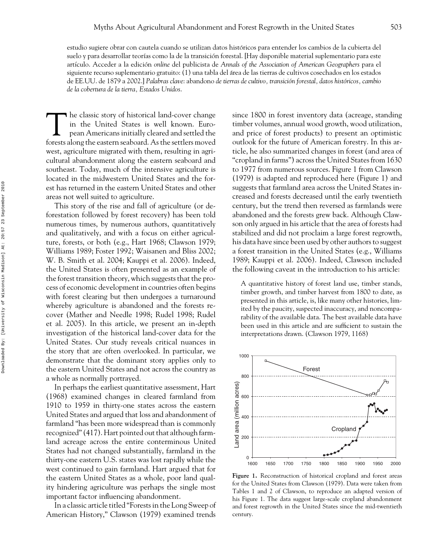estudio sugiere obrar con cautela cuando se utilizan datos historicos para entender los cambios de la cubierta del ´ suelo y para desarrollar teorías como la de la transición forestal. [Hay disponible material suplementario para este artículo. Acceder a la edición *online* del publicista de *Annals of the Association of American Geographers* para el siguiente recurso suplementario gratuito: (1) una tabla del area de las tierras de cultivos cosechados en los estados ´ de EE.UU. de 1879 a 2002.] *Palabras clave*: abandono *de tierras de cultivo, transicion forestal, datos hist ´ oricos, cambio ´ de la cobertura de la tierra, Estados Unidos*.

he classic story of historical land-cover change in the United States is well known. European Americans initially cleared and settled the forests along the eastern seaboard. As the settlers moved west, agriculture migrated with them, resulting in agricultural abandonment along the eastern seaboard and southeast. Today, much of the intensive agriculture is located in the midwestern United States and the forest has returned in the eastern United States and other areas not well suited to agriculture.

This story of the rise and fall of agriculture (or deforestation followed by forest recovery) has been told numerous times, by numerous authors, quantitatively and qualitatively, and with a focus on either agriculture, forests, or both (e.g., Hart 1968; Clawson 1979; Williams 1989; Foster 1992; Waisanen and Bliss 2002; W. B. Smith et al. 2004; Kauppi et al. 2006). Indeed, the United States is often presented as an example of the forest transition theory, which suggests that the process of economic development in countries often begins with forest clearing but then undergoes a turnaround whereby agriculture is abandoned and the forests recover (Mather and Needle 1998; Rudel 1998; Rudel et al. 2005). In this article, we present an in-depth investigation of the historical land-cover data for the United States. Our study reveals critical nuances in the story that are often overlooked. In particular, we demonstrate that the dominant story applies only to the eastern United States and not across the country as a whole as normally portrayed.

In perhaps the earliest quantitative assessment, Hart (1968) examined changes in cleared farmland from 1910 to 1959 in thirty-one states across the eastern United States and argued that loss and abandonment of farmland "has been more widespread than is commonly recognized" (417). Hart pointed out that although farmland acreage across the entire conterminous United States had not changed substantially, farmland in the thirty-one eastern U.S. states was lost rapidly while the west continued to gain farmland. Hart argued that for the eastern United States as a whole, poor land quality hindering agriculture was perhaps the single most important factor influencing abandonment.

In a classic article titled "Forests in the Long Sweep of American History," Clawson (1979) examined trends

since 1800 in forest inventory data (acreage, standing timber volumes, annual wood growth, wood utilization, and price of forest products) to present an optimistic outlook for the future of American forestry. In this article, he also summarized changes in forest (and area of "cropland in farms") across the United States from 1630 to 1977 from numerous sources. Figure 1 from Clawson (1979) is adapted and reproduced here (Figure 1) and suggests that farmland area across the United States increased and forests decreased until the early twentieth century, but the trend then reversed as farmlands were abandoned and the forests grew back. Although Clawson only argued in his article that the area of forests had stabilized and did not proclaim a large forest regrowth, his data have since been used by other authors to suggest a forest transition in the United States (e.g., Williams 1989; Kauppi et al. 2006). Indeed, Clawson included the following caveat in the introduction to his article:

A quantitative history of forest land use, timber stands, timber growth, and timber harvest from 1800 to date, as presented in this article, is, like many other histories, limited by the paucity, suspected inaccuracy, and noncomparability of the available data. The best available data have been used in this article and are sufficient to sustain the interpretations drawn. (Clawson 1979, 1168)



**Figure 1.** Reconstruction of historical cropland and forest areas for the United States from Clawson (1979). Data were taken from Tables 1 and 2 of Clawson, to reproduce an adapted version of his Figure 1. The data suggest large-scale cropland abandonment and forest regrowth in the United States since the mid-twentieth century.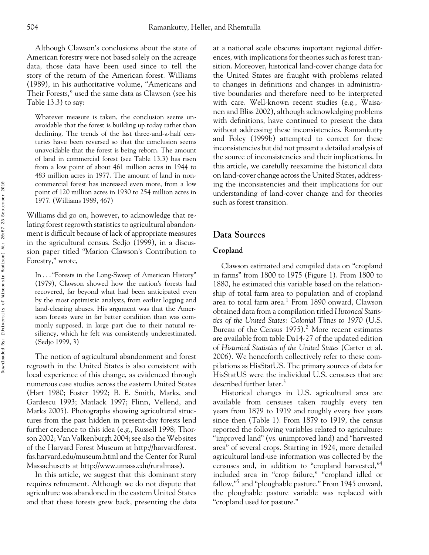Although Clawson's conclusions about the state of American forestry were not based solely on the acreage data, those data have been used since to tell the story of the return of the American forest. Williams (1989), in his authoritative volume, "Americans and Their Forests," used the same data as Clawson (see his Table 13.3) to say:

Whatever measure is taken, the conclusion seems unavoidable that the forest is building up today rather than declining. The trends of the last three-and-a-half centuries have been reversed so that the conclusion seems unavoidable that the forest is being reborn. The amount of land in commercial forest (see Table 13.3) has risen from a low point of about 461 million acres in 1944 to 483 million acres in 1977. The amount of land in noncommercial forest has increased even more, from a low point of 120 million acres in 1930 to 254 million acres in 1977. (Williams 1989, 467)

Williams did go on, however, to acknowledge that relating forest regrowth statistics to agricultural abandonment is difficult because of lack of appropriate measures in the agricultural census. Sedjo (1999), in a discussion paper titled "Marion Clawson's Contribution to Forestry," wrote,

In ..."Forests in the Long-Sweep of American History" (1979), Clawson showed how the nation's forests had recovered, far beyond what had been anticipated even by the most optimistic analysts, from earlier logging and land-clearing abuses. His argument was that the American forests were in far better condition than was commonly supposed, in large part due to their natural resiliency, which he felt was consistently underestimated. (Sedjo 1999, 3)

The notion of agricultural abandonment and forest regrowth in the United States is also consistent with local experience of this change, as evidenced through numerous case studies across the eastern United States (Hart 1980; Foster 1992; B. E. Smith, Marks, and Gardescu 1993; Matlack 1997; Flinn, Vellend, and Marks 2005). Photographs showing agricultural structures from the past hidden in present-day forests lend further credence to this idea (e.g., Russell 1998; Thorson 2002; Van Valkenburgh 2004; see also theWeb sites of the Harvard Forest Museum at http://harvardforest. fas.harvard.edu/museum.html and the Center for Rural Massachusetts at http://www.umass.edu/ruralmass).

In this article, we suggest that this dominant story requires refinement. Although we do not dispute that agriculture was abandoned in the eastern United States and that these forests grew back, presenting the data

at a national scale obscures important regional differences, with implications for theories such as forest transition. Moreover, historical land-cover change data for the United States are fraught with problems related to changes in definitions and changes in administrative boundaries and therefore need to be interpreted with care. Well-known recent studies (e.g., Waisanen and Bliss 2002), although acknowledging problems with definitions, have continued to present the data without addressing these inconsistencies. Ramankutty and Foley (1999b) attempted to correct for these inconsistencies but did not present a detailed analysis of the source of inconsistencies and their implications. In this article, we carefully reexamine the historical data on land-cover change across the United States, addressing the inconsistencies and their implications for our understanding of land-cover change and for theories such as forest transition.

## **Data Sources**

## **Cropland**

Clawson estimated and compiled data on "cropland in farms" from 1800 to 1975 (Figure 1). From 1800 to 1880, he estimated this variable based on the relationship of total farm area to population and of cropland area to total farm area.<sup>1</sup> From 1890 onward, Clawson obtained data from a compilation titled *Historical Statistics of the United States: Colonial Times to 1970* (U.S. Bureau of the Census 1975).2 More recent estimates are available from table Da14-27 of the updated edition of *Historical Statistics of the United States* (Carter et al. 2006). We henceforth collectively refer to these compilations as HisStatUS. The primary sources of data for HisStatUS were the individual U.S. censuses that are described further later.<sup>3</sup>

Historical changes in U.S. agricultural area are available from censuses taken roughly every ten years from 1879 to 1919 and roughly every five years since then (Table 1). From 1879 to 1919, the census reported the following variables related to agriculture: "improved land" (vs. unimproved land) and "harvested area" of several crops. Starting in 1924, more detailed agricultural land-use information was collected by the censuses and, in addition to "cropland harvested,"<sup>4</sup> included area in "crop failure," "cropland idled or fallow,"<sup>5</sup> and "ploughable pasture." From 1945 onward, the ploughable pasture variable was replaced with "cropland used for pasture."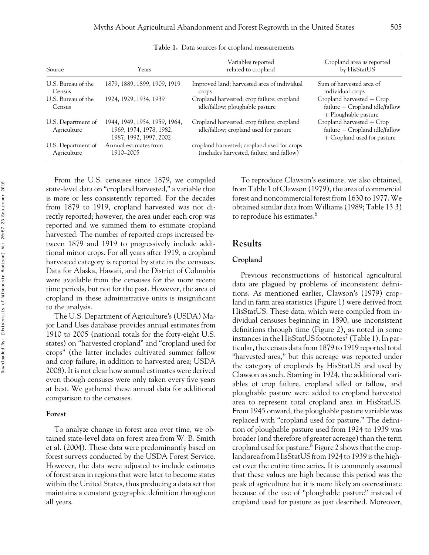| Source                              | Years                                                                              | Variables reported<br>related to cropland                                                | Cropland area as reported<br>by HisStatUS                                                    |
|-------------------------------------|------------------------------------------------------------------------------------|------------------------------------------------------------------------------------------|----------------------------------------------------------------------------------------------|
| U.S. Bureau of the<br>Census        | 1879, 1889, 1899, 1909, 1919                                                       | Improved land; harvested area of individual<br>crops                                     | Sum of harvested area of<br>individual crops                                                 |
| U.S. Bureau of the<br><b>Census</b> | 1924, 1929, 1934, 1939                                                             | Cropland harvested; crop failure; cropland<br>idle/fallow; ploughable pasture            | $Cropland$ harvested $+$ $Crop$<br>failure $+$ Cropland idle/fallow<br>+ Ploughable pasture  |
| U.S. Department of<br>Agriculture   | 1944, 1949, 1954, 1959, 1964,<br>1969, 1974, 1978, 1982,<br>1987, 1992, 1997, 2002 | Cropland harvested; crop failure; cropland<br>idle/fallow; cropland used for pasture     | Cropland harvested + Crop<br>failure $+$ Cropland idle/fallow<br>+ Cropland used for pasture |
| U.S. Department of<br>Agriculture   | Annual estimates from<br>1910-2005                                                 | cropland harvested; cropland used for crops<br>(includes harvested, failure, and fallow) |                                                                                              |

**Table 1.** Data sources for cropland measurements

From the U.S. censuses since 1879, we compiled state-level data on "cropland harvested," a variable that is more or less consistently reported. For the decades from 1879 to 1919, cropland harvested was not directly reported; however, the area under each crop was reported and we summed them to estimate cropland harvested. The number of reported crops increased between 1879 and 1919 to progressively include additional minor crops. For all years after 1919, a cropland harvested category is reported by state in the censuses. Data for Alaska, Hawaii, and the District of Columbia were available from the censuses for the more recent time periods, but not for the past. However, the area of cropland in these administrative units is insignificant to the analysis.

The U.S. Department of Agriculture's (USDA) Major Land Uses database provides annual estimates from 1910 to 2005 (national totals for the forty-eight U.S. states) on "harvested cropland" and "cropland used for crops" (the latter includes cultivated summer fallow and crop failure, in addition to harvested area; USDA 2008). It is not clear how annual estimates were derived even though censuses were only taken every five years at best. We gathered these annual data for additional comparison to the censuses.

## **Forest**

To analyze change in forest area over time, we obtained state-level data on forest area from W. B. Smith et al. (2004). These data were predominantly based on forest surveys conducted by the USDA Forest Service. However, the data were adjusted to include estimates of forest area in regions that were later to become states within the United States, thus producing a data set that maintains a constant geographic definition throughout all years.

To reproduce Clawson's estimate, we also obtained, from Table 1 of Clawson (1979), the area of commercial forest and noncommercial forest from 1630 to 1977. We obtained similar data from Williams (1989; Table 13.3) to reproduce his estimates.<sup>6</sup>

# **Results**

## **Cropland**

Previous reconstructions of historical agricultural data are plagued by problems of inconsistent definitions. As mentioned earlier, Clawson's (1979) cropland in farm area statistics (Figure 1) were derived from HisStatUS. These data, which were compiled from individual censuses beginning in 1890, use inconsistent definitions through time (Figure 2), as noted in some instances in the HisStatUS footnotes<sup>7</sup> (Table 1). In particular, the census data from 1879 to 1919 reported total "harvested area," but this acreage was reported under the category of croplands by HisStatUS and used by Clawson as such. Starting in 1924, the additional variables of crop failure, cropland idled or fallow, and ploughable pasture were added to cropland harvested area to represent total cropland area in HisStatUS. From 1945 onward, the ploughable pasture variable was replaced with "cropland used for pasture." The definition of ploughable pasture used from 1924 to 1939 was broader (and therefore of greater acreage) than the term cropland used for pasture. $8$  Figure 2 shows that the cropland area from HisStatUS from 1924 to 1939 is the highest over the entire time series. It is commonly assumed that these values are high because this period was the peak of agriculture but it is more likely an overestimate because of the use of "ploughable pasture" instead of cropland used for pasture as just described. Moreover,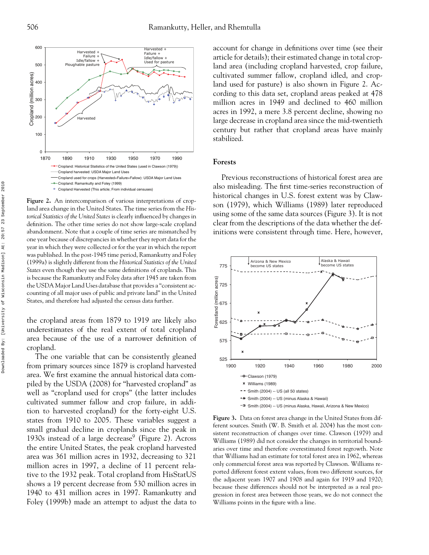

**Figure 2.** An intercomparison of various interpretations of cropland area change in the United States. The time series from the *Historical Statistics of the United States* is clearly influenced by changes in definition. The other time series do not show large-scale cropland abandonment. Note that a couple of time series are mismatched by one year because of discrepancies in whether they report data for the year in which they were collected or for the year in which the report was published. In the post-1945 time period, Ramankutty and Foley (1999a) is slightly different from the *Historical Statistics of the United States* even though they use the same definitions of croplands. This is because the Ramankutty and Foley data after 1945 are taken from the USDA Major Land Uses database that provides a "consistent accounting of all major uses of public and private land" in the United States, and therefore had adjusted the census data further.

the cropland areas from 1879 to 1919 are likely also underestimates of the real extent of total cropland area because of the use of a narrower definition of cropland.

The one variable that can be consistently gleaned from primary sources since 1879 is cropland harvested area. We first examine the annual historical data compiled by the USDA (2008) for "harvested cropland" as well as "cropland used for crops" (the latter includes cultivated summer fallow and crop failure, in addition to harvested cropland) for the forty-eight U.S. states from 1910 to 2005. These variables suggest a small gradual decline in croplands since the peak in 1930s instead of a large decrease<sup>9</sup> (Figure 2). Across the entire United States, the peak cropland harvested area was 361 million acres in 1932, decreasing to 321 million acres in 1997, a decline of 11 percent relative to the 1932 peak. Total cropland from HisStatUS shows a 19 percent decrease from 530 million acres in 1940 to 431 million acres in 1997. Ramankutty and Foley (1999b) made an attempt to adjust the data to account for change in definitions over time (see their article for details); their estimated change in total cropland area (including cropland harvested, crop failure, cultivated summer fallow, cropland idled, and cropland used for pasture) is also shown in Figure 2. According to this data set, cropland areas peaked at 478 million acres in 1949 and declined to 460 million acres in 1992, a mere 3.8 percent decline, showing no large decrease in cropland area since the mid-twentieth century but rather that cropland areas have mainly stabilized.

#### **Forests**

Previous reconstructions of historical forest area are also misleading. The first time-series reconstruction of historical changes in U.S. forest extent was by Clawson (1979), which Williams (1989) later reproduced using some of the same data sources (Figure 3). It is not clear from the descriptions of the data whether the definitions were consistent through time. Here, however,



**Figure 3.** Data on forest area change in the United States from different sources. Smith (W. B. Smith et al. 2004) has the most consistent reconstruction of changes over time. Clawson (1979) and Williams (1989) did not consider the changes in territorial boundaries over time and therefore overestimated forest regrowth. Note that Williams had an estimate for total forest area in 1962, whereas only commercial forest area was reported by Clawson. Williams reported different forest extent values, from two different sources, for the adjacent years 1907 and 1908 and again for 1919 and 1920; because these differences should not be interpreted as a real progression in forest area between those years, we do not connect the Williams points in the figure with a line.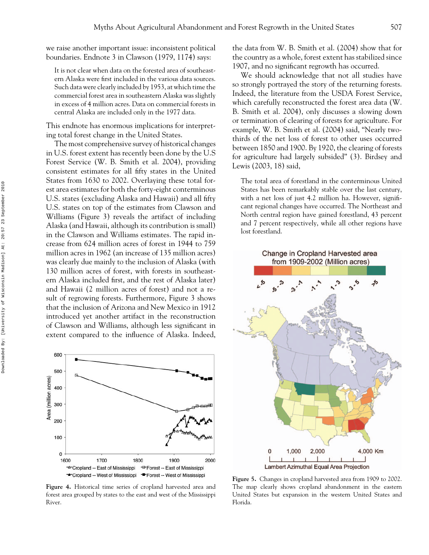we raise another important issue: inconsistent political boundaries. Endnote 3 in Clawson (1979, 1174) says:

It is not clear when data on the forested area of southeastern Alaska were first included in the various data sources. Such data were clearly included by 1953, at which time the commercial forest area in southeastern Alaska was slightly in excess of 4 million acres. Data on commercial forests in central Alaska are included only in the 1977 data.

This endnote has enormous implications for interpreting total forest change in the United States.

The most comprehensive survey of historical changes in U.S. forest extent has recently been done by the U.S Forest Service (W. B. Smith et al. 2004), providing consistent estimates for all fifty states in the United States from 1630 to 2002. Overlaying these total forest area estimates for both the forty-eight conterminous U.S. states (excluding Alaska and Hawaii) and all fifty U.S. states on top of the estimates from Clawson and Williams (Figure 3) reveals the artifact of including Alaska (and Hawaii, although its contribution is small) in the Clawson and Williams estimates. The rapid increase from 624 million acres of forest in 1944 to 759 million acres in 1962 (an increase of 135 million acres) was clearly due mainly to the inclusion of Alaska (with 130 million acres of forest, with forests in southeastern Alaska included first, and the rest of Alaska later) and Hawaii (2 million acres of forest) and not a result of regrowing forests. Furthermore, Figure 3 shows that the inclusion of Arizona and New Mexico in 1912 introduced yet another artifact in the reconstruction of Clawson and Williams, although less significant in extent compared to the influence of Alaska. Indeed,



**Figure 4.** Historical time series of cropland harvested area and forest area grouped by states to the east and west of the Mississippi River.

the data from W. B. Smith et al. (2004) show that for the country as a whole, forest extent has stabilized since 1907, and no significant regrowth has occurred.

We should acknowledge that not all studies have so strongly portrayed the story of the returning forests. Indeed, the literature from the USDA Forest Service, which carefully reconstructed the forest area data (W. B. Smith et al. 2004), only discusses a slowing down or termination of clearing of forests for agriculture. For example, W. B. Smith et al. (2004) said, "Nearly twothirds of the net loss of forest to other uses occurred between 1850 and 1900. By 1920, the clearing of forests for agriculture had largely subsided" (3). Birdsey and Lewis (2003, 18) said,

The total area of forestland in the conterminous United States has been remarkably stable over the last century, with a net loss of just 4.2 million ha. However, significant regional changes have occurred. The Northeast and North central region have gained forestland, 43 percent and 7 percent respectively, while all other regions have lost forestland.



Figure 5. Changes in cropland harvested area from 1909 to 2002. The map clearly shows cropland abandonment in the eastern United States but expansion in the western United States and Florida.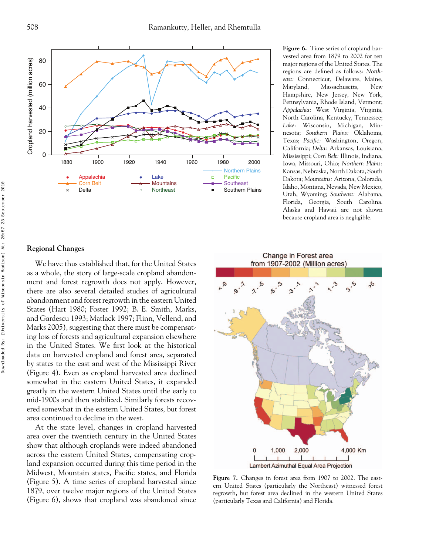

**Regional Changes**

We have thus established that, for the United States as a whole, the story of large-scale cropland abandonment and forest regrowth does not apply. However, there are also several detailed studies of agricultural abandonment and forest regrowth in the eastern United States (Hart 1980; Foster 1992; B. E. Smith, Marks, and Gardescu 1993; Matlack 1997; Flinn, Vellend, and Marks 2005), suggesting that there must be compensating loss of forests and agricultural expansion elsewhere in the United States. We first look at the historical data on harvested cropland and forest area, separated by states to the east and west of the Mississippi River (Figure 4). Even as cropland harvested area declined somewhat in the eastern United States, it expanded greatly in the western United States until the early to mid-1900s and then stabilized. Similarly forests recovered somewhat in the eastern United States, but forest area continued to decline in the west.

At the state level, changes in cropland harvested area over the twentieth century in the United States show that although croplands were indeed abandoned across the eastern United States, compensating cropland expansion occurred during this time period in the Midwest, Mountain states, Pacific states, and Florida (Figure 5). A time series of cropland harvested since 1879, over twelve major regions of the United States (Figure 6), shows that cropland was abandoned since

**Figure 6.** Time series of cropland harvested area from 1879 to 2002 for ten major regions of the United States. The regions are defined as follows: *Northeast:* Connecticut, Delaware, Maine, Maryland, Massachusetts, New Hampshire, New Jersey, New York, Pennsylvania, Rhode Island, Vermont; *Appalachia:* West Virginia, Virginia, North Carolina, Kentucky, Tennessee; *Lake:* Wisconsin, Michigan, Minnesota; *Southern Plains:* Oklahoma, Texas; *Pacific:* Washington, Oregon, California; *Delta:* Arkansas, Louisiana, Mississippi; *Corn Belt:* Illinois, Indiana, Iowa, Missouri, Ohio; *Northern Plains:* Kansas, Nebraska, North Dakota, South Dakota; *Mountains:* Arizona, Colorado, Idaho, Montana, Nevada, New Mexico, Utah, Wyoming; *Southeast:* Alabama, Florida, Georgia, South Carolina. Alaska and Hawaii are not shown because cropland area is negligible.



**Figure 7.** Changes in forest area from 1907 to 2002. The eastern United States (particularly the Northeast) witnessed forest regrowth, but forest area declined in the western United States (particularly Texas and California) and Florida.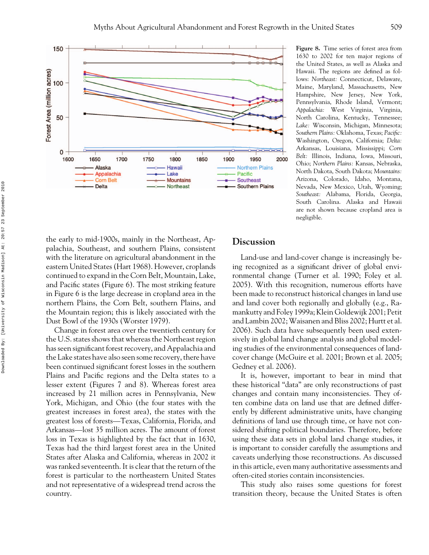

the early to mid-1900s, mainly in the Northeast, Appalachia, Southeast, and southern Plains, consistent with the literature on agricultural abandonment in the eastern United States (Hart 1968). However, croplands continued to expand in the Corn Belt, Mountain, Lake, and Pacific states (Figure 6). The most striking feature in Figure 6 is the large decrease in cropland area in the northern Plains, the Corn Belt, southern Plains, and the Mountain region; this is likely associated with the Dust Bowl of the 1930s (Worster 1979).

Change in forest area over the twentieth century for the U.S. states shows that whereas the Northeast region has seen significant forest recovery, and Appalachia and the Lake states have also seen some recovery, there have been continued significant forest losses in the southern Plains and Pacific regions and the Delta states to a lesser extent (Figures 7 and 8). Whereas forest area increased by 21 million acres in Pennsylvania, New York, Michigan, and Ohio (the four states with the greatest increases in forest area), the states with the greatest loss of forests—Texas, California, Florida, and Arkansas—lost 35 million acres. The amount of forest loss in Texas is highlighted by the fact that in 1630, Texas had the third largest forest area in the United States after Alaska and California, whereas in 2002 it was ranked seventeenth. It is clear that the return of the forest is particular to the northeastern United States and not representative of a widespread trend across the country.

**Discussion**

Land-use and land-cover change is increasingly being recognized as a significant driver of global environmental change (Turner et al. 1990; Foley et al. 2005). With this recognition, numerous efforts have been made to reconstruct historical changes in land use and land cover both regionally and globally (e.g., Ramankutty and Foley 1999a; Klein Goldewijk 2001; Petit and Lambin 2002; Waisanen and Bliss 2002; Hurtt et al. 2006). Such data have subsequently been used extensively in global land change analysis and global modeling studies of the environmental consequences of landcover change (McGuire et al. 2001; Brown et al. 2005; Gedney et al. 2006).

negligible.

It is, however, important to bear in mind that these historical "data" are only reconstructions of past changes and contain many inconsistencies. They often combine data on land use that are defined differently by different administrative units, have changing definitions of land use through time, or have not considered shifting political boundaries. Therefore, before using these data sets in global land change studies, it is important to consider carefully the assumptions and caveats underlying those reconstructions. As discussed in this article, even many authoritative assessments and often-cited stories contain inconsistencies.

This study also raises some questions for forest transition theory, because the United States is often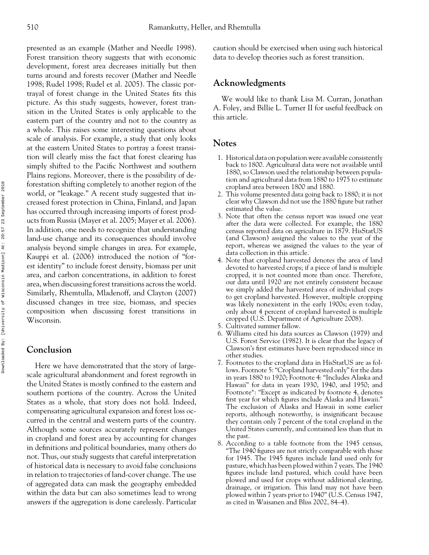presented as an example (Mather and Needle 1998). Forest transition theory suggests that with economic development, forest area decreases initially but then turns around and forests recover (Mather and Needle 1998; Rudel 1998; Rudel et al. 2005). The classic portrayal of forest change in the United States fits this picture. As this study suggests, however, forest transition in the United States is only applicable to the eastern part of the country and not to the country as a whole. This raises some interesting questions about scale of analysis. For example, a study that only looks at the eastern United States to portray a forest transition will clearly miss the fact that forest clearing has simply shifted to the Pacific Northwest and southern Plains regions. Moreover, there is the possibility of deforestation shifting completely to another region of the world, or "leakage." A recent study suggested that increased forest protection in China, Finland, and Japan has occurred through increasing imports of forest products from Russia (Mayer et al. 2005; Mayer et al. 2006). In addition, one needs to recognize that understanding land-use change and its consequences should involve analysis beyond simple changes in area. For example, Kauppi et al. (2006) introduced the notion of "forest identity" to include forest density, biomass per unit area, and carbon concentrations, in addition to forest area, when discussing forest transitions across the world. Similarly, Rhemtulla, Mladenoff, and Clayton (2007) discussed changes in tree size, biomass, and species composition when discussing forest transitions in Wisconsin.

## **Conclusion**

Here we have demonstrated that the story of largescale agricultural abandonment and forest regrowth in the United States is mostly confined to the eastern and southern portions of the country. Across the United States as a whole, that story does not hold. Indeed, compensating agricultural expansion and forest loss occurred in the central and western parts of the country. Although some sources accurately represent changes in cropland and forest area by accounting for changes in definitions and political boundaries, many others do not. Thus, our study suggests that careful interpretation of historical data is necessary to avoid false conclusions in relation to trajectories of land-cover change. The use of aggregated data can mask the geography embedded within the data but can also sometimes lead to wrong answers if the aggregation is done carelessly. Particular caution should be exercised when using such historical data to develop theories such as forest transition.

## **Acknowledgments**

We would like to thank Lisa M. Curran, Jonathan A. Foley, and Billie L. Turner II for useful feedback on this article.

## **Notes**

- 1. Historical data on population were available consistently back to 1800. Agricultural data were not available until 1880, so Clawson used the relationship between population and agricultural data from 1880 to 1975 to estimate cropland area between 1800 and 1880.
- 2. This volume presented data going back to 1880; it is not clear why Clawson did not use the 1880 figure but rather estimated the value.
- 3. Note that often the census report was issued one year after the data were collected. For example, the 1880 census reported data on agriculture in 1879. HisStatUS (and Clawson) assigned the values to the year of the report, whereas we assigned the values to the year of data collection in this article.
- 4. Note that cropland harvested denotes the area of land devoted to harvested crops; if a piece of land is multiple cropped, it is not counted more than once. Therefore, our data until 1920 are not entirely consistent because we simply added the harvested area of individual crops to get cropland harvested. However, multiple cropping was likely nonexistent in the early 1900s; even today, only about 4 percent of cropland harvested is multiple cropped (U.S. Department of Agriculture 2008).
- 5. Cultivated summer fallow.
- 6. Williams cited his data sources as Clawson (1979) and U.S. Forest Service (1982). It is clear that the legacy of Clawson's first estimates have been reproduced since in other studies.
- 7. Footnotes to the cropland data in HisStatUS are as follows. Footnote 5: "Cropland harvested only" for the data in years 1880 to 1920; Footnote 4: "Includes Alaska and Hawaii" for data in years 1930, 1940, and 1950; and Footnote∗: "Except as indicated by footnote 4, denotes first year for which figures include Alaska and Hawaii.' The exclusion of Alaska and Hawaii in some earlier reports, although noteworthy, is insignificant because they contain only 7 percent of the total cropland in the United States currently, and contained less than that in the past.
- 8. According to a table footnote from the 1945 census, "The 1940 figures are not strictly comparable with those for 1945. The 1945 figures include land used only for pasture, which has been plowed within 7 years. The 1940 figures include land pastured, which could have been plowed and used for crops without additional clearing, drainage, or irrigation. This land may not have been plowed within 7 years prior to 1940" (U.S. Census 1947, as cited in Waisanen and Bliss 2002, 84–4).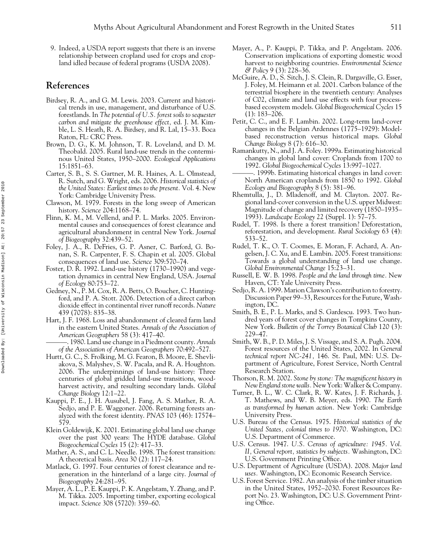9. Indeed, a USDA report suggests that there is an inverse relationship between cropland used for crops and cropland idled because of federal programs (USDA 2008).

# **References**

- Birdsey, R. A., and G. M. Lewis. 2003. Current and historical trends in use, management, and disturbance of U.S. forestlands. In *The potential of U.S. forest soils to sequester carbon and mitigate the greenhouse effect,* ed. J. M. Kimble, L. S. Heath, R. A. Birdsey, and R. Lal, 15–33. Boca Raton, FL: CRC Press.
- Brown, D. G., K. M. Johnson, T. R. Loveland, and D. M. Theobald. 2005. Rural land-use trends in the conterminous United States, 1950–2000. *Ecological Applications* 15:1851–63.
- Carter, S. B., S. S. Gartner, M. R. Haines, A. L. Olmstead, R. Sutch, and G. Wright, eds. 2006. *Historical statistics of the United States: Earliest times to the present.* Vol. 4. New York: Cambridge University Press.
- Clawson, M. 1979. Forests in the long sweep of American history. *Science* 204:1168–74.
- Flinn, K. M., M. Vellend, and P. L. Marks. 2005. Environmental causes and consequences of forest clearance and agricultural abandonment in central New York. *Journal of Biogeography* 32:439–52.
- Foley, J. A., R. DeFries, G. P. Asner, C. Barford, G. Bonan, S. R. Carpenter, F. S. Chapin et al. 2005. Global consequences of land use. *Science* 309:570–74.
- Foster, D. R. 1992. Land-use history (1730–1990) and vegetation dynamics in central New England, USA. *Journal of Ecology* 80:753–72.
- Gedney, N., P. M. Cox, R. A. Betts, O. Boucher, C. Huntingford, and P. A. Stott. 2006. Detection of a direct carbon dioxide effect in continental river runoff records. *Nature* 439 (7078): 835–38.
- Hart, J. F. 1968. Loss and abandonment of cleared farm land in the eastern United States. *Annals of the Association of American Geographers* 58 (3): 417–40.
- ———. 1980. Land use change in a Piedmont county. *Annals of the Association of American Geographers* 70:492–527.
- Hurtt, G. C., S. Frolking, M. G. Fearon, B. Moore, E. Shevliakova, S. Malyshev, S. W. Pacala, and R. A. Houghton. 2006. The underpinnings of land-use history: Three centuries of global gridded land-use transitions, woodharvest activity, and resulting secondary lands. *Global Change Biology* 12:1–22.
- Kauppi, P. E., J. H. Ausubel, J. Fang, A. S. Mather, R. A. Sedjo, and P. E. Waggoner. 2006. Returning forests analyzed with the forest identity. *PNAS* 103 (46): 17574– 579.
- Klein Goldewijk, K. 2001. Estimating global land use change over the past 300 years: The HYDE database. *Global Biogeochemical Cycles* 15 (2): 417–33.
- Mather, A. S., and C. L. Needle. 1998. The forest transition: A theoretical basis. *Area* 30 (2): 117–24.
- Matlack, G. 1997. Four centuries of forest clearance and regeneration in the hinterland of a large city. *Journal of Biogeography* 24:281–95.
- Mayer, A. L., P. E. Kauppi, P. K. Angelstam, Y. Zhang, and P. M. Tikka. 2005. Importing timber, exporting ecological impact. *Science* 308 (5720): 359–60.
- Mayer, A., P. Kauppi, P. Tikka, and P. Angelstam. 2006. Conservation implications of exporting domestic wood harvest to neighboring countries. *Environmental Science & Policy* 9 (3): 228–36.
- McGuire, A. D., S. Sitch, J. S. Clein, R. Dargaville, G. Esser, J. Foley, M. Heimann et al. 2001. Carbon balance of the terrestrial biosphere in the twentieth century: Analyses of C02, climate and land use effects with four processbased ecosystem models. *Global Biogeochemical Cycles* 15 (1): 183–206.
- Petit, C. C., and E. F. Lambin. 2002. Long-term land-cover changes in the Belgian Ardennes (1775–1929): Modelbased reconstruction versus historical maps. *Global Change Biology* 8 (7): 616–30.
- Ramankutty, N., and J. A. Foley. 1999a. Estimating historical changes in global land cover: Croplands from 1700 to 1992. *Global Biogeochemical Cycles* 13:997–1027.
- -. 1999b. Estimating historical changes in land cover: North American croplands from 1850 to 1992. *Global Ecology and Biogeography* 8 (5): 381–96.
- Rhemtulla, J., D. Mladenoff, and M. Clayton. 2007. Regional land-cover conversion in the U.S. upper Midwest: Magnitude of change and limited recovery (1850–1935– 1993). *Landscape Ecology* 22 (Suppl. 1): 57–75.
- Rudel, T. 1998. Is there a forest transition? Deforestation, reforestation, and development. *Rural Sociology* 63 (4): 533–52.
- Rudel, T. K., O. T. Coomes, E. Moran, F. Achard, A. Angelsen, J. C. Xu, and E. Lambin. 2005. Forest transitions: Towards a global understanding of land use change. *Global Environmental Change* 15:23–31.
- Russell, E. W. B. 1998. *People and the land through time.* New Haven, CT: Yale University Press.
- Sedjo, R. A. 1999. Marion Clawson's contribution to forestry. Discussion Paper 99–33, Resources for the Future, Washington, DC.
- Smith, B. E., P. L. Marks, and S. Gardescu. 1993. Two hundred years of forest cover changes in Tompkins County, New York. *Bulletin of the Torrey Botanical Club* 120 (3): 229–47.
- Smith, W. B., P. D. Miles, J. S. Vissage, and S. A. Pugh. 2004. Forest resources of the United States, 2002. In *General technical report NC-241,* 146. St. Paul, MN: U.S. Department of Agriculture, Forest Service, North Central Research Station.
- Thorson, R. M. 2002. *Stone by stone: The magnificent history in New England stone walls.* New York:Walker & Company.
- Turner, B. L., W. C. Clark, R. W. Kates, J. F. Richards, J. T. Mathews, and W. B. Meyer, eds. 1990. *The Earth as transformed by human action.* New York: Cambridge University Press.
- U.S. Bureau of the Census. 1975. *Historical statistics of the United States, colonial times to 1970.* Washington, DC: U.S. Department of Commerce.
- U.S. Census. 1947. *U.S. Census of agriculture: 1945. Vol. II, General report, statistics by subjects.* Washington, DC: U.S. Government Printing Office.
- U.S. Department of Agriculture (USDA). 2008. *Major land uses.* Washington, DC: Economic Research Service.
- U.S. Forest Service. 1982. An analysis of the timber situation in the United States, 1952–2030. Forest Resources Report No. 23. Washington, DC: U.S. Government Printing Office.